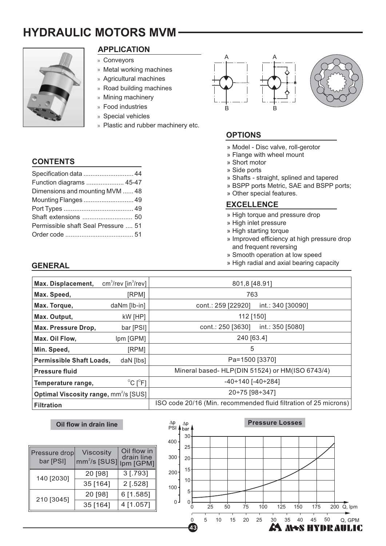# **HYDRAULIC MOTORS MVM**



# **APPLICATION**

- » Conveyors
- » Metal working machines
- » Agricultural machines
- » Road building machines
- » Mining machinery
- » Food industries
- » Special vehicles
- » Plastic and rubber machinery etc.

## **CONTENTS**

**GENERAL**

| Specification data  44              |  |
|-------------------------------------|--|
| Function diagrams  45-47            |  |
| Dimensions and mounting MVM  48     |  |
| Mounting Flanges  49                |  |
|                                     |  |
| Shaft extensions  50                |  |
| Permissible shaft Seal Pressure  51 |  |
|                                     |  |





# **OPTIONS**

- » Model Disc valve, roll-gerotor
- » Flange with wheel mount
- » Short motor
- » Side ports
- » Shafts straight, splined and tapered
- » BSPP ports Metric, SAE and BSPP ports;
- » Other special features.

#### **EXCELLENCE**

- » High torque and pressure drop
- » High inlet pressure
- » High starting torque
- » Improved efficiency at high pressure drop and frequent reversing
- » Smooth operation at low speed
- » High radial and axial bearing capacity

| $cm3/rev$ [in $3/rev$ ]                                | 801,8 [48.91]                                                    |  |  |
|--------------------------------------------------------|------------------------------------------------------------------|--|--|
| [RPM]                                                  | 763                                                              |  |  |
| daNm [lb-in]                                           | cont.: 259 [22920]<br>int.: 340 [30090]                          |  |  |
| kW [HP]                                                | 112 [150]                                                        |  |  |
| bar [PSI]                                              | int.: 350 [5080]<br>cont.: 250 [3630]                            |  |  |
| Ipm [GPM]                                              | 240 [63.4]                                                       |  |  |
| [RPM]                                                  | 5                                                                |  |  |
| daN [lbs]<br><b>Permissible Shaft Loads,</b>           | Pa=1500 [3370]                                                   |  |  |
|                                                        | Mineral based- HLP(DIN 51524) or HM(ISO 6743/4)                  |  |  |
| $^{\circ}$ C [ $^{\circ}$ F]                           | $-40 \div 140$ [ $-40 \div 284$ ]                                |  |  |
| <b>Optimal Viscosity range, mm<sup>2</sup>/s [SUS]</b> | 20÷75 [98÷347]                                                   |  |  |
|                                                        | ISO code 20/16 (Min. recommended fluid filtration of 25 microns) |  |  |
|                                                        |                                                                  |  |  |

#### **Oil flow in drain line**

| Pressure drop<br>bar [PSI] | <b>Viscosity</b><br>$\text{mm}^2/\text{s}$ [SUS] | Oil flow in<br>drain line<br>Ipm [GPM] |
|----------------------------|--------------------------------------------------|----------------------------------------|
| 140 [2030]                 | 20 [98]                                          | 3 [.793]                               |
|                            | 35 [164]                                         | $2$ [.528]                             |
| 210 [3045]                 | 20 [98]                                          | 6 [1.585]                              |
|                            | 35 [164]                                         | 4 [1.057]                              |

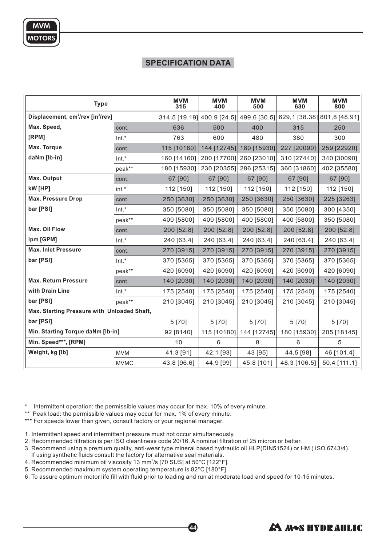# **SPECIFICATION DATA**

| <b>Type</b>                                               |             | <b>MVM</b><br>315          | <b>MVM</b><br>400 | <b>MVM</b><br>500 | <b>MVM</b><br>630                        | <b>MVM</b><br>800 |
|-----------------------------------------------------------|-------------|----------------------------|-------------------|-------------------|------------------------------------------|-------------------|
| Displacement, cm <sup>3</sup> /rev [in <sup>3</sup> /rev] |             | 314,5 [19.19] 400,9 [24.5] |                   |                   | 499,6 [30.5] 629,1 [38.38] 801,8 [48.91] |                   |
| Max. Speed,                                               | cont.       | 636                        | 500               | 400               | 315                                      | 250               |
| [RPM]                                                     | Int.*       | 763                        | 600               | 480               | 380                                      | 300               |
| Max. Torque                                               | cont.       | 115 [10180]                | 144 [12745]       | 180 [15930]       | 227 [20090]                              | 259 [22920]       |
| daNm [lb-in]                                              | Int.*       | 160 [14160]                | 200 [17700]       | 260 [23010]       | 310 [27440]                              | 340 [30090]       |
|                                                           | peak**      | 180 [15930]                | 230 [20355]       | 286 [25315]       | 360 [31860]                              | 402 [35580]       |
| Max. Output                                               | cont.       | 67 [90]                    | 67 [90]           | 67 [90]           | 67 [90]                                  | 67 [90]           |
| kW [HP]                                                   | int.*       | 112 [150]                  | 112 [150]         | 112 [150]         | 112 [150]                                | 112 [150]         |
| <b>Max. Pressure Drop</b>                                 | cont.       | 250 [3630]                 | 250 [3630]        | 250 [3630]        | 250 [3630]                               | 225 [3263]        |
| bar [PSI]                                                 | $Int.*$     | 350 [5080]                 | 350 [5080]        | 350 [5080]        | 350 [5080]                               | 300 [4350]        |
|                                                           | peak**      | 400 [5800]                 | 400 [5800]        | 400 [5800]        | 400 [5800]                               | 350 [5080]        |
| <b>Max. Oil Flow</b>                                      | cont.       | 200 [52.8]                 | 200 [52.8]        | 200 [52.8]        | 200 [52.8]                               | 200 [52.8]        |
| Ipm [GPM]                                                 | Int.*       | 240 [63.4]                 | 240 [63.4]        | 240 [63.4]        | 240 [63.4]                               | 240 [63.4]        |
| <b>Max. Inlet Pressure</b>                                | cont.       | 270 [3915]                 | 270 [3915]        | 270 [3915]        | 270 [3915]                               | 270 [3915]        |
| bar [PSI]                                                 | $Int.*$     | 370 [5365]                 | 370 [5365]        | 370 [5365]        | 370 [5365]                               | 370 [5365]        |
|                                                           | peak**      | 420 [6090]                 | 420 [6090]        | 420 [6090]        | 420 [6090]                               | 420 [6090]        |
| <b>Max. Return Pressure</b>                               | cont.       | 140 [2030]                 | 140 [2030]        | 140 [2030]        | 140 [2030]                               | 140 [2030]        |
| with Drain Line                                           | $Int.*$     | 175 [2540]                 | 175 [2540]        | 175 [2540]        | 175 [2540]                               | 175 [2540]        |
| bar [PSI]                                                 | peak**      | 210 [3045]                 | 210 [3045]        | 210 [3045]        | 210 [3045]                               | 210 [3045]        |
| Max. Starting Pressure with Unloaded Shaft,               |             |                            |                   |                   |                                          |                   |
| bar [PSI]                                                 |             | 5 [70]                     | 5 [70]            | 5 [70]            | 5 [70]                                   | 5 [70]            |
| Min. Starting Torque daNm [lb-in]                         |             | 92 [8140]                  | 115 [10180]       | 144 [12745]       | 180 [15930]                              | 205 [18145]       |
| Min. Speed***, [RPM]                                      |             | 10                         | 6                 | 8                 | 6                                        | 5                 |
| Weight, kg [lb]                                           | <b>MVM</b>  | 41,3 [91]                  | 42,1 [93]         | 43 [95]           | 44,5 [98]                                | 46 [101.4]        |
|                                                           | <b>MVMC</b> | 43,8 [96.6]                | 44,9 [99]         | 45,8 [101]        | 48,3 [106.5]                             | 50,4 [111.1]      |

\* Intermittent operation: the permissible values may occur for max. 10% of every minute.

\*\* Peak load: the permissible values may occur for max. 1% of every minute.

\*\*\* For speeds lower than given, consult factory or your regional manager.

1. Intermittent speed and intermittent pressure must not occur simultaneously.

2. Recommended filtration is per ISO cleanliness code 20/16. A nominal filtration of 25 micron or better.

3. Recommend using a premium quality, anti-wear type mineral based hydraulic oil HLP(DIN51524) or HM ( ISO 6743/4).

44

If using synthetic fluids consult the factory for alternative seal materials.

4. Recommended minimum oil viscosity 13 mm $^2$ /s [70 SUS] at 50°C [122°F].

5. Recommended maximum system operating temperature is 82°C [180°F].

6. To assure optimum motor life fill with fluid prior to loading and run at moderate load and speed for 10-15 minutes.

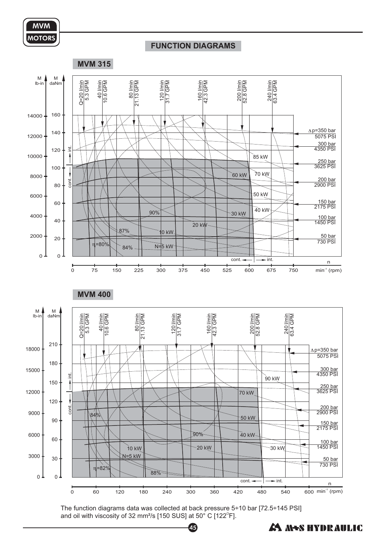

#### **FUNCTION DIAGRAMS**



The function diagrams data was collected at back pressure 5÷10 bar [72.5÷145 PSI] and oil with viscosity of 32 mm²/s [150 SUS] at 50° C [122 $^{\circ}$ F].

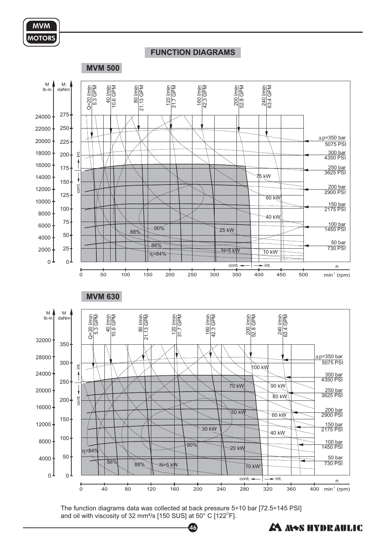# **FUNCTION DIAGRAMS**

**MVM 500**



The function diagrams data was collected at back pressure 5÷10 bar [72.5÷145 PSI] and oil with viscosity of 32 mm²/s [150 SUS] at 50° C [122 $^{\circ}$ F].

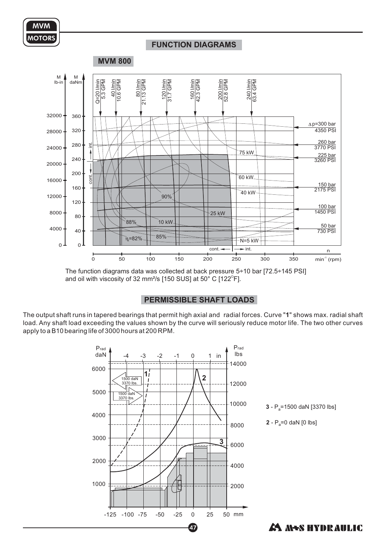#### **FUNCTION DIAGRAMS**



The function diagrams data was collected at back pressure 5÷10 bar [72.5÷145 PSI] and oil with viscosity of 32 mm²/s [150 SUS] at 50° C [122 $^{\circ}$ F].

## **PERMISSIBLE SHAFT LOADS**

The output shaft runs in tapered bearings that permit high axial and radial forces. Curve "**1**" shows max. radial shaft load. Any shaft load exceeding the values shown by the curve will seriously reduce motor life. The two other curves apply to a B10 bearing life of 3000 hours at 200 RPM.

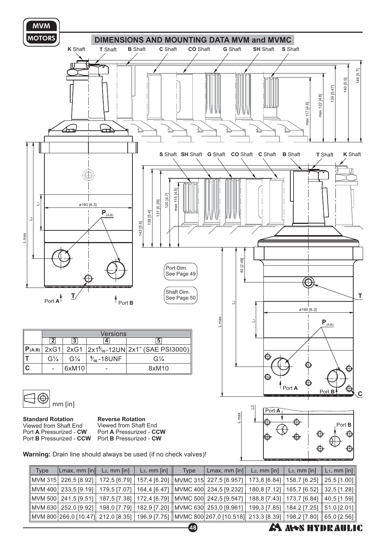

MVM 630 MVM 800 266,0 [10.47] 252,0 [9.92] 198,0 [7.79] 212,0 [8.35] 65,0 [2.56] MVMC 630 MVMC 800 267,0 [10.518] 253,0 [9.961] 199,3 [7.85] 213,3 [8.39] 182,9 [7.20] 196,9 [7.75] 184,2 [7.25] 198,2 [7.80]

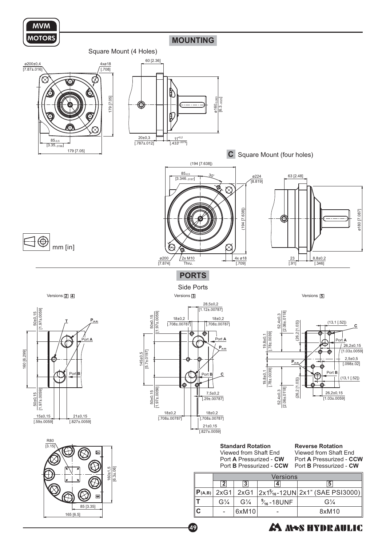

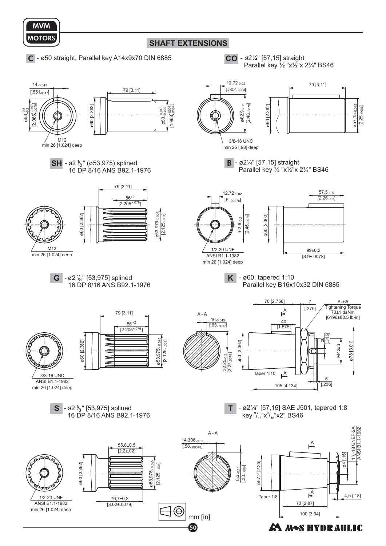<span id="page-7-0"></span>